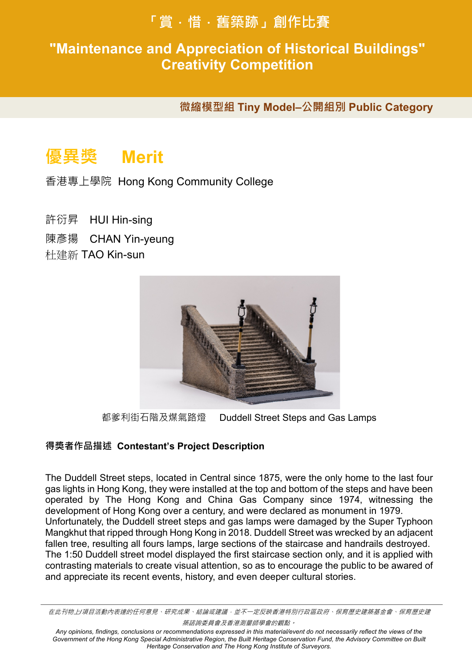# **「賞.惜.舊築跡」創作比賽**

## **"Maintenance and Appreciation of Historical Buildings" 得獎作品賞析 Works Sppreciation Creativity Competition**

**微縮模型組 Tiny Model–公開組別 Public Category** 

# **優異獎 Merit**

香港專上學院 Hong Kong Community College

- 許衍昇 HUI Hin-sing
- 陳彥揚 CHAN Yin-yeung
- 杜建新 TAO Kin-sun



都爹利街石階及煤氣路燈 Duddell Street Steps and Gas Lamps

#### **得獎者作品描述 Contestant's Project Description**

The Duddell Street steps, located in Central since 1875, were the only home to the last four gas lights in Hong Kong, they were installed at the top and bottom of the steps and have been operated by The Hong Kong and China Gas Company since 1974, witnessing the development of Hong Kong over a century, and were declared as monument in 1979. Unfortunately, the Duddell street steps and gas lamps were damaged by the Super Typhoon Mangkhut that ripped through Hong Kong in 2018. Duddell Street was wrecked by an adjacent fallen tree, resulting all fours lamps, large sections of the staircase and handrails destroyed. The 1:50 Duddell street model displayed the first staircase section only, and it is applied with contrasting materials to create visual attention, so as to encourage the public to be awared of and appreciate its recent events, history, and even deeper cultural stories.

在此刊物上*/*項目活動內表達的任何意見、研究成果、結論或建議,並不一定反映香港特別行政區政府、保育歷史建築基金會、保育歷史建 築諮詢委員會及香港測量師學會的觀點。

*Any opinions, findings, conclusions or recommendations expressed in this material/event do not necessarily reflect the views of the*  Government of the Hong Kong Special Administrative Region, the Built Heritage Conservation Fund, the Advisory Committee on Built *Heritage Conservation and The Hong Kong Institute of Surveyors.*